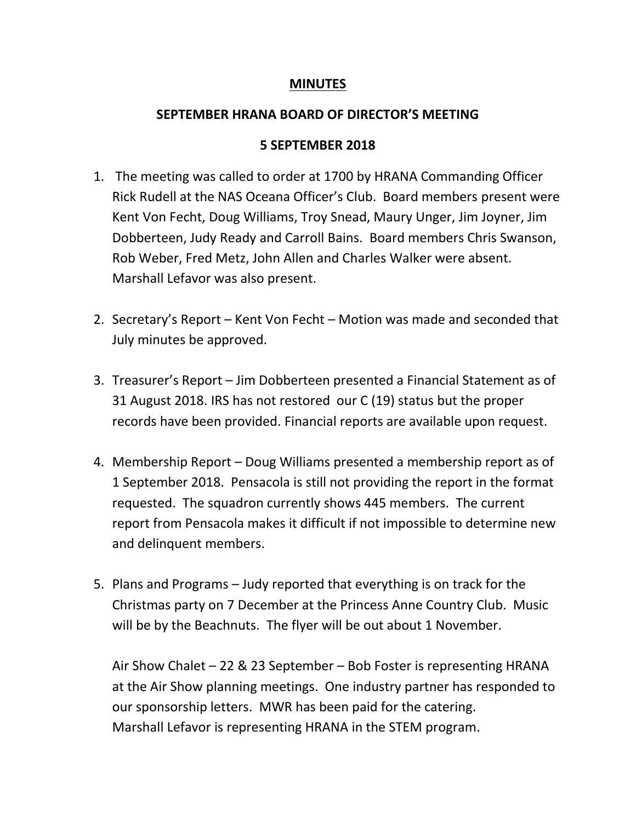## **MINUTES**

## **SEPTEMBER HRANA BOARD OF DIRECTOR'S MEETING**

## **5 SEPTEMBER 2018**

- 1. The meeting was called to order at 1700 by HRANA Commanding Officer Rick Rudell at the NAS Oceana Officer's Club. Board members present were Kent Von Fecht, Doug Williams, Troy Snead, Maury Unger, Jim Joyner, Jim Dobberteen, Judy Ready and Carroll Bains. Board members Chris Swanson, Rob Weber, Fred Metz, John Allen and Charles Walker were absent. Marshall Lefavor was also present.
- 2. Secretary's Report Kent Von Fecht Motion was made and seconded that July minutes be approved.
- 3. Treasurer's Report Jim Dobberteen presented a Financial Statement as of 31 August 2018. IRS has not restored our C (19) status but the proper records have been provided. Financial reports are available upon request.
- 4. Membership Report Doug Williams presented a membership report as of 1 September 2018. Pensacola is still not providing the report in the format requested. The squadron currently shows 445 members. The current report from Pensacola makes it difficult if not impossible to determine new and delinquent members.
- 5. Plans and Programs Judy reported that everything is on track for the Christmas party on 7 December at the Princess Anne Country Club. Music will be by the Beachnuts. The flyer will be out about 1 November.

Air Show Chalet – 22 & 23 September – Bob Foster is representing HRANA at the Air Show planning meetings. One industry partner has responded to our sponsorship letters. MWR has been paid for the catering. Marshall Lefavor is representing HRANA in the STEM program.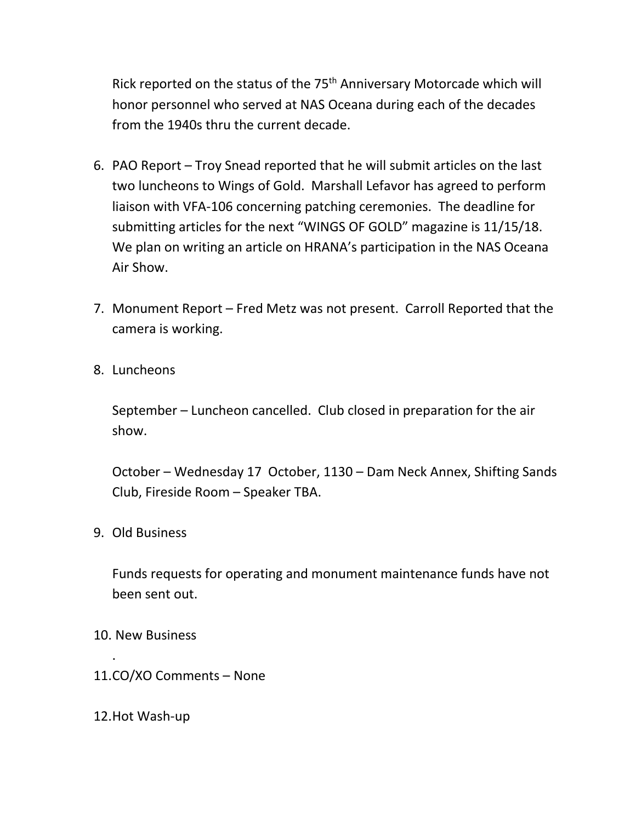Rick reported on the status of the 75<sup>th</sup> Anniversary Motorcade which will honor personnel who served at NAS Oceana during each of the decades from the 1940s thru the current decade.

- 6. PAO Report Troy Snead reported that he will submit articles on the last two luncheons to Wings of Gold. Marshall Lefavor has agreed to perform liaison with VFA-106 concerning patching ceremonies. The deadline for submitting articles for the next "WINGS OF GOLD" magazine is 11/15/18. We plan on writing an article on HRANA's participation in the NAS Oceana Air Show.
- 7. Monument Report Fred Metz was not present. Carroll Reported that the camera is working.
- 8. Luncheons

September – Luncheon cancelled. Club closed in preparation for the air show.

October – Wednesday 17 October, 1130 – Dam Neck Annex, Shifting Sands Club, Fireside Room – Speaker TBA.

9. Old Business

Funds requests for operating and monument maintenance funds have not been sent out.

10. New Business

.

- 11.CO/XO Comments None
- 12.Hot Wash-up